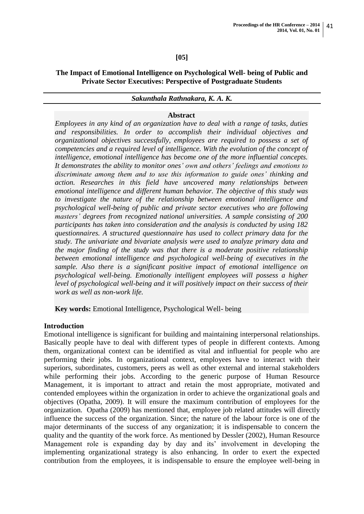### **[05]**

### **The Impact of Emotional Intelligence on Psychological Well- being of Public and Private Sector Executives: Perspective of Postgraduate Students**

#### *Sakunthala Rathnakara, K. A. K.*

#### **Abstract**

*Employees in any kind of an organization have to deal with a range of tasks, duties and responsibilities. In order to accomplish their individual objectives and organizational objectives successfully, employees are required to possess a set of competencies and a required level of intelligence. With the evolution of the concept of intelligence, emotional intelligence has become one of the more influential concepts. It demonstrates the ability to monitor ones' own and others' feelings and emotions to discriminate among them and to use this information to guide ones' thinking and action. Researches in this field have uncovered many relationships between emotional intelligence and different human behavior. The objective of this study was to investigate the nature of the relationship between emotional intelligence and psychological well-being of public and private sector executives who are following masters' degrees from recognized national universities. A sample consisting of 200 participants has taken into consideration and the analysis is conducted by using 182 questionnaires. A structured questionnaire has used to collect primary data for the study. The univariate and bivariate analysis were used to analyze primary data and the major finding of the study was that there is a moderate positive relationship between emotional intelligence and psychological well-being of executives in the sample. Also there is a significant positive impact of emotional intelligence on psychological well-being. Emotionally intelligent employees will possess a higher level of psychological well-being and it will positively impact on their success of their work as well as non-work life.*

**Key words:** Emotional Intelligence, Psychological Well- being

#### **Introduction**

Emotional intelligence is significant for building and maintaining interpersonal relationships. Basically people have to deal with different types of people in different contexts. Among them, organizational context can be identified as vital and influential for people who are performing their jobs. In organizational context, employees have to interact with their superiors, subordinates, customers, peers as well as other external and internal stakeholders while performing their jobs. According to the generic purpose of Human Resource Management, it is important to attract and retain the most appropriate, motivated and contended employees within the organization in order to achieve the organizational goals and objectives (Opatha, 2009). It will ensure the maximum contribution of employees for the organization. Opatha (2009) has mentioned that, employee job related attitudes will directly influence the success of the organization. Since; the nature of the labour force is one of the major determinants of the success of any organization; it is indispensable to concern the quality and the quantity of the work force. As mentioned by Dessler (2002), Human Resource Management role is expanding day by day and its' involvement in developing the implementing organizational strategy is also enhancing. In order to exert the expected contribution from the employees, it is indispensable to ensure the employee well-being in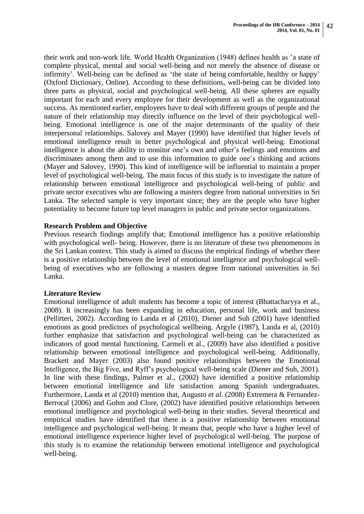their work and non-work life. World Health Organization (1948) defines health as "a state of complete physical, mental and social well-being and not merely the absence of disease or infirmity'. Well-being can be defined as 'the state of being [comfortable,](http://www.oxforddictionaries.com/definition/english/comfortable) [healthy](http://www.oxforddictionaries.com/definition/english/healthy) or happy' (Oxford Dictionary, Online). According to these definitions, well-being can be divided into three parts as physical, social and psychological well-being. All these spheres are equally important for each and every employee for their development as well as the organizational success. As mentioned earlier, employees have to deal with different groups of people and the nature of their relationship may directly influence on the level of their psychological wellbeing. Emotional intelligence is one of the major determinants of the quality of their interpersonal relationships. Salovey and Mayer (1990) have identified that higher levels of emotional intelligence result in better psychological and physical well-being. Emotional intelligence is about the ability to monitor one"s own and other"s feelings and emotions and discriminates among them and to use this information to guide one"s thinking and actions (Mayer and Salovey, 1990). This kind of intelligence will be influential to maintain a proper level of psychological well-being. The main focus of this study is to investigate the nature of relationship between emotional intelligence and psychological well-being of public and private sector executives who are following a masters degree from national universities in Sri Lanka. The selected sample is very important since; they are the people who have higher potentiality to become future top level managers in public and private sector organizations.

### **Research Problem and Objective**

Previous research findings amplify that; Emotional intelligence has a positive relationship with psychological well- being. However, there is no literature of these two phenomenons in the Sri Lankan context. This study is aimed to discuss the empirical findings of whether there is a positive relationship between the level of emotional intelligence and psychological wellbeing of executives who are following a masters degree from national universities in Sri Lanka.

# **Literature Review**

Emotional intelligence of adult students has become a topic of interest (Bhattacharyya et al., 2008). It increasingly has been expanding in education, personal life, work and business (Pellitteri, 2002). According to Landa et al (2010), Diener and Suh (2001) have identified emotions as good predictors of psychological wellbeing. Argyle (1987), Landa et al, (2010) further emphasize that satisfaction and psychological well-being can be characterized as indicators of good mental functioning. Carmeli et al., (2009) have also identified a positive relationship between emotional intelligence and psychological well-being. Additionally, Brackett and Mayer (2003) also found positive relationships between the Emotional Intelligence, the Big Five, and Ryff"s psychological well-being scale (Diener and Suh, 2001). In line with these findings, Palmer et al., (2002) have identified a positive relationship between emotional intelligence and life satisfaction among Spanish undergraduates. Furthermore, Landa et al (2010) mention that, Augusto *et al*. (2008) Extremera & Fernandez-Berrocal (2006) and Gohm and Clore, (2002) have identified positive relationships between emotional intelligence and psychological well-being in their studies. Several theoretical and empirical studies have identified that there is a positive relationship between emotional intelligence and psychological well-being. It means that, people who have a higher level of emotional intelligence experience higher level of psychological well-being. The purpose of this study is to examine the relationship between emotional intelligence and psychological well-being.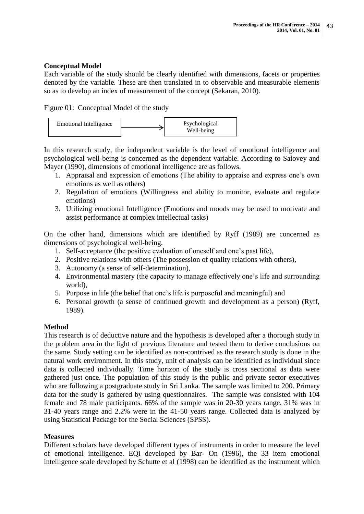# **Conceptual Model**

Each variable of the study should be clearly identified with dimensions, facets or properties denoted by the variable. These are then translated in to observable and measurable elements so as to develop an index of measurement of the concept (Sekaran, 2010).

### Figure 01: Conceptual Model of the study



In this research study, the independent variable is the level of emotional intelligence and psychological well-being is concerned as the dependent variable. According to Salovey and Mayer (1990), dimensions of emotional intelligence are as follows.

- 1. Appraisal and expression of emotions (The ability to appraise and express one"s own emotions as well as others)
- 2. Regulation of emotions (Willingness and ability to monitor, evaluate and regulate emotions)
- 3. Utilizing emotional Intelligence (Emotions and moods may be used to motivate and assist performance at complex intellectual tasks)

On the other hand, dimensions which are identified by Ryff (1989) are concerned as dimensions of psychological well-being.

- 1. Self-acceptance (the positive evaluation of oneself and one"s past life),
- 2. Positive relations with others (The possession of quality relations with others),
- 3. Autonomy (a sense of self-determination),
- 4. Environmental mastery (the capacity to manage effectively one"s life and surrounding world),
- 5. Purpose in life (the belief that one"s life is purposeful and meaningful) and
- 6. Personal growth (a sense of continued growth and development as a person) (Ryff, 1989).

### **Method**

This research is of deductive nature and the hypothesis is developed after a thorough study in the problem area in the light of previous literature and tested them to derive conclusions on the same. Study setting can be identified as non-contrived as the research study is done in the natural work environment. In this study, unit of analysis can be identified as individual since data is collected individually. Time horizon of the study is cross sectional as data were gathered just once. The population of this study is the public and private sector executives who are following a postgraduate study in Sri Lanka. The sample was limited to 200. Primary data for the study is gathered by using questionnaires. The sample was consisted with 104 female and 78 male participants. 66% of the sample was in 20-30 years range, 31% was in 31-40 years range and 2.2% were in the 41-50 years range. Collected data is analyzed by using Statistical Package for the Social Sciences (SPSS).

### **Measures**

Different scholars have developed different types of instruments in order to measure the level of emotional intelligence. EQi developed by Bar- On (1996), the 33 item emotional intelligence scale developed by Schutte et al (1998) can be identified as the instrument which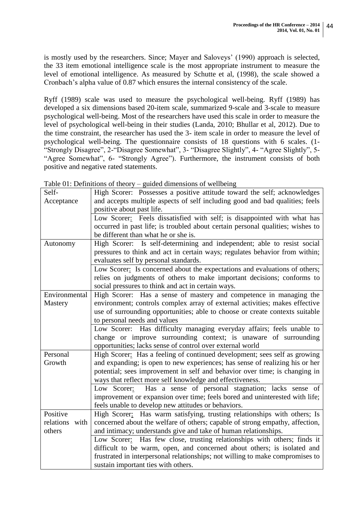is mostly used by the researchers. Since; Mayer and Saloveys" (1990) approach is selected, the 33 item emotional intelligence scale is the most appropriate instrument to measure the level of emotional intelligence. As measured by Schutte et al, (1998), the scale showed a Cronbach"s alpha value of 0.87 which ensures the internal consistency of the scale.

Ryff (1989) scale was used to measure the psychological well-being. Ryff (1989) has developed a six dimensions based 20-item scale, summarized 9-scale and 3-scale to measure psychological well-being. Most of the researchers have used this scale in order to measure the level of psychological well-being in their studies (Landa, 2010; Bhullar et al, 2012). Due to the time constraint, the researcher has used the 3- item scale in order to measure the level of psychological well-being. The questionnaire consists of 18 questions with 6 scales. (1- "Strongly Disagree", 2-"Disagree Somewhat", 3- "Disagree Slightly", 4- "Agree Slightly", 5- "Agree Somewhat", 6- "Strongly Agree"). Furthermore, the instrument consists of both positive and negative rated statements.

| Self-             | High Scorer: Possesses a positive attitude toward the self; acknowledges       |  |  |  |  |  |  |
|-------------------|--------------------------------------------------------------------------------|--|--|--|--|--|--|
| Acceptance        | and accepts multiple aspects of self including good and bad qualities; feels   |  |  |  |  |  |  |
|                   | positive about past life.                                                      |  |  |  |  |  |  |
|                   | Low Scorer: Feels dissatisfied with self; is disappointed with what has        |  |  |  |  |  |  |
|                   | occurred in past life; is troubled about certain personal qualities; wishes to |  |  |  |  |  |  |
|                   | be different than what he or she is.                                           |  |  |  |  |  |  |
| Autonomy          | High Scorer: Is self-determining and independent; able to resist social        |  |  |  |  |  |  |
|                   | pressures to think and act in certain ways; regulates behavior from within;    |  |  |  |  |  |  |
|                   | evaluates self by personal standards.                                          |  |  |  |  |  |  |
|                   | Low Scorer: Is concerned about the expectations and evaluations of others;     |  |  |  |  |  |  |
|                   | relies on judgments of others to make important decisions; conforms to         |  |  |  |  |  |  |
|                   | social pressures to think and act in certain ways.                             |  |  |  |  |  |  |
| Environmental     | High Scorer: Has a sense of mastery and competence in managing the             |  |  |  |  |  |  |
| Mastery           | environment; controls complex array of external activities; makes effective    |  |  |  |  |  |  |
|                   | use of surrounding opportunities; able to choose or create contexts suitable   |  |  |  |  |  |  |
|                   | to personal needs and values                                                   |  |  |  |  |  |  |
|                   | Low Scorer: Has difficulty managing everyday affairs; feels unable to          |  |  |  |  |  |  |
|                   | change or improve surrounding context; is unaware of surrounding               |  |  |  |  |  |  |
|                   | opportunities; lacks sense of control over external world                      |  |  |  |  |  |  |
| Personal          | High Scorer: Has a feeling of continued development; sees self as growing      |  |  |  |  |  |  |
| Growth            | and expanding; is open to new experiences; has sense of realizing his or her   |  |  |  |  |  |  |
|                   | potential; sees improvement in self and behavior over time; is changing in     |  |  |  |  |  |  |
|                   | ways that reflect more self knowledge and effectiveness.                       |  |  |  |  |  |  |
|                   | Low Scorer: Has a sense of personal stagnation; lacks sense of                 |  |  |  |  |  |  |
|                   | improvement or expansion over time; feels bored and uninterested with life;    |  |  |  |  |  |  |
|                   | feels unable to develop new attitudes or behaviors.                            |  |  |  |  |  |  |
| Positive          | High Scorer: Has warm satisfying, trusting relationships with others; Is       |  |  |  |  |  |  |
| relations<br>with | concerned about the welfare of others; capable of strong empathy, affection,   |  |  |  |  |  |  |
| others            | and intimacy; understands give and take of human relationships.                |  |  |  |  |  |  |
|                   | Low Scorer: Has few close, trusting relationships with others; finds it        |  |  |  |  |  |  |
|                   | difficult to be warm, open, and concerned about others; is isolated and        |  |  |  |  |  |  |
|                   | frustrated in interpersonal relationships; not willing to make compromises to  |  |  |  |  |  |  |
|                   | sustain important ties with others.                                            |  |  |  |  |  |  |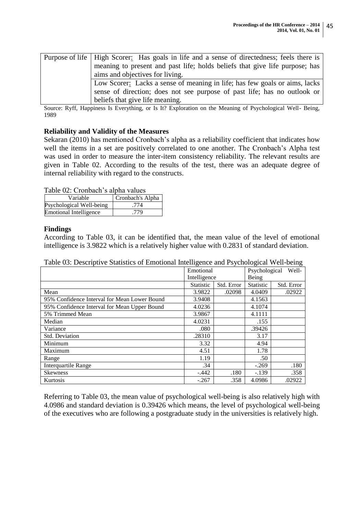| Purpose of life   High Scorer: Has goals in life and a sense of directedness; feels there is |
|----------------------------------------------------------------------------------------------|
| meaning to present and past life; holds beliefs that give life purpose; has                  |
| aims and objectives for living.                                                              |
| Low Scorer: Lacks a sense of meaning in life; has few goals or aims, lacks                   |
| sense of direction; does not see purpose of past life; has no outlook or                     |
| beliefs that give life meaning.                                                              |

Source: Ryff, Happiness Is Everything, or Is It? Exploration on the Meaning of Psychological Well- Being, 1989

### **Reliability and Validity of the Measures**

Sekaran (2010) has mentioned Cronbach's alpha as a reliability coefficient that indicates how well the items in a set are positively correlated to one another. The Cronbach"s Alpha test was used in order to measure the inter-item consistency reliability. The relevant results are given in Table 02. According to the results of the test, there was an adequate degree of internal reliability with regard to the constructs.

Table 02: Cronbach"s alpha values

| Variable                      | Cronbach's Alpha |
|-------------------------------|------------------|
| Psychological Well-being      | .774             |
| <b>Emotional Intelligence</b> | .779             |

#### **Findings**

According to Table 03, it can be identified that, the mean value of the level of emotional intelligence is 3.9822 which is a relatively higher value with 0.2831 of standard deviation.

| Table 03: Descriptive Statistics of Emotional Intelligence and Psychological Well-being |  |  |
|-----------------------------------------------------------------------------------------|--|--|
|                                                                                         |  |  |

| Emotional                                    |              |            | Psychological<br>Well- |            |  |  |
|----------------------------------------------|--------------|------------|------------------------|------------|--|--|
|                                              | Intelligence |            | Being                  |            |  |  |
|                                              | Statistic    | Std. Error | Statistic              | Std. Error |  |  |
| Mean                                         | 3.9822       | .02098     | 4.0409                 | .02922     |  |  |
| 95% Confidence Interval for Mean Lower Bound | 3.9408       |            | 4.1563                 |            |  |  |
| 95% Confidence Interval for Mean Upper Bound | 4.0236       |            | 4.1074                 |            |  |  |
| 5% Trimmed Mean                              | 3.9867       |            | 4.1111                 |            |  |  |
| Median                                       | 4.0231       |            | .155                   |            |  |  |
| Variance                                     | .080         |            | .39426                 |            |  |  |
| <b>Std. Deviation</b>                        | .28310       |            | 3.17                   |            |  |  |
| Minimum                                      | 3.32         |            | 4.94                   |            |  |  |
| Maximum                                      | 4.51         |            | 1.78                   |            |  |  |
| Range                                        | 1.19         |            | .50                    |            |  |  |
| <b>Interquartile Range</b>                   | .34          |            | $-.269$                | .180       |  |  |
| <b>Skewness</b>                              | $-.442$      | .180       | $-.139$                | .358       |  |  |
| Kurtosis                                     | $-.267$      | .358       | 4.0986                 | .02922     |  |  |

Referring to Table 03, the mean value of psychological well-being is also relatively high with 4.0986 and standard deviation is 0.39426 which means, the level of psychological well-being of the executives who are following a postgraduate study in the universities is relatively high.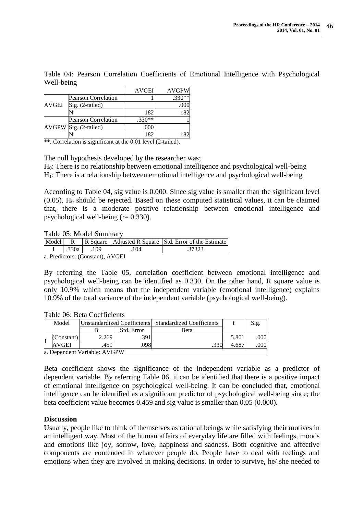Table 04: Pearson Correlation Coefficients of Emotional Intelligence with Psychological Well-being

|              |                            | <b>AVGEI</b> | <b>AVGPW</b> |
|--------------|----------------------------|--------------|--------------|
|              | <b>Pearson Correlation</b> |              | $.330**$     |
| <b>AVGEI</b> | $Sig. (2-tailed)$          |              | .000         |
|              |                            | $18^\circ$   | 182          |
|              | <b>Pearson Correlation</b> | $.330**$     |              |
|              | AVGPW Sig. (2-tailed)      | ,000         |              |
|              |                            |              | 82           |

\*\*. Correlation is significant at the 0.01 level (2-tailed).

The null hypothesis developed by the researcher was;

H0: There is no relationship between emotional intelligence and psychological well-being  $H<sub>1</sub>$ : There is a relationship between emotional intelligence and psychological well-being

According to Table 04, sig value is 0.000. Since sig value is smaller than the significant level  $(0.05)$ ,  $H_0$  should be rejected. Based on these computed statistical values, it can be claimed that, there is a moderate positive relationship between emotional intelligence and psychological well-being (r= 0.330).

Table 05: Model Summary

| Model                          |       |     |      | R Square   Adjusted R Square   Std. Error of the Estimate |  |  |
|--------------------------------|-------|-----|------|-----------------------------------------------------------|--|--|
|                                | .330a | 109 | .104 |                                                           |  |  |
| o Prodictore: (Constant) AVCEI |       |     |      |                                                           |  |  |

a. Predictors: (Constant), AVGEI

By referring the Table 05, correlation coefficient between emotional intelligence and psychological well-being can be identified as 0.330. On the other hand, R square value is only 10.9% which means that the independent variable (emotional intelligence) explains 10.9% of the total variance of the independent variable (psychological well-being).

|              | Tuoto voi Dela Coemeiento                             |            |      |       |      |
|--------------|-------------------------------------------------------|------------|------|-------|------|
| Model        | Unstandardized Coefficients Standardized Coefficients |            |      |       | Sig. |
|              |                                                       | Std. Error | Beta |       |      |
| (Constant)   | 2.269                                                 |            |      | 5.801 | 000  |
| <b>AVGEI</b> | .459                                                  | 098        | .330 | 4.687 | 000  |
|              | a. Dependent Variable: AVGPW                          |            |      |       |      |

#### Table 06: Beta Coefficients

Beta coefficient shows the significance of the independent variable as a predictor of dependent variable. By referring Table 06, it can be identified that there is a positive impact of emotional intelligence on psychological well-being. It can be concluded that, emotional intelligence can be identified as a significant predictor of psychological well-being since; the beta coefficient value becomes 0.459 and sig value is smaller than 0.05 (0.000).

### **Discussion**

Usually, people like to think of themselves as rational beings while satisfying their motives in an intelligent way. Most of the human affairs of everyday life are filled with feelings, moods and emotions like joy, sorrow, love, happiness and sadness. Both cognitive and affective components are contended in whatever people do. People have to deal with feelings and emotions when they are involved in making decisions. In order to survive, he/ she needed to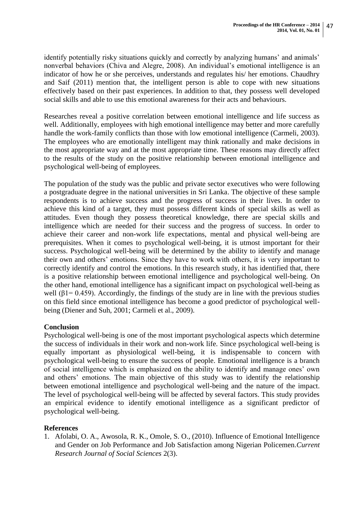identify potentially risky situations quickly and correctly by analyzing humans' and animals' nonverbal behaviors (Chiva and Alegre, 2008). An individual"s emotional intelligence is an indicator of how he or she perceives, understands and regulates his/ her emotions. Chaudhry and Saif (2011) mention that, the intelligent person is able to cope with new situations effectively based on their past experiences. In addition to that, they possess well developed social skills and able to use this emotional awareness for their acts and behaviours.

Researches reveal a positive correlation between emotional intelligence and life success as well. Additionally, employees with high emotional intelligence may better and more carefully handle the work-family conflicts than those with low emotional intelligence (Carmeli, 2003). The employees who are emotionally intelligent may think rationally and make decisions in the most appropriate way and at the most appropriate time. These reasons may directly affect to the results of the study on the positive relationship between emotional intelligence and psychological well-being of employees.

The population of the study was the public and private sector executives who were following a postgraduate degree in the national universities in Sri Lanka. The objective of these sample respondents is to achieve success and the progress of success in their lives. In order to achieve this kind of a target, they must possess different kinds of special skills as well as attitudes. Even though they possess theoretical knowledge, there are special skills and intelligence which are needed for their success and the progress of success. In order to achieve their career and non-work life expectations, mental and physical well-being are prerequisites. When it comes to psychological well-being, it is utmost important for their success. Psychological well-being will be determined by the ability to identify and manage their own and others" emotions. Since they have to work with others, it is very important to correctly identify and control the emotions. In this research study, it has identified that, there is a positive relationship between emotional intelligence and psychological well-being. On the other hand, emotional intelligence has a significant impact on psychological well-being as well ( $\beta$ 1= 0.459). Accordingly, the findings of the study are in line with the previous studies on this field since emotional intelligence has become a good predictor of psychological wellbeing (Diener and Suh, 2001; Carmeli et al., 2009).

# **Conclusion**

Psychological well-being is one of the most important psychological aspects which determine the success of individuals in their work and non-work life. Since psychological well-being is equally important as physiological well-being, it is indispensable to concern with psychological well-being to ensure the success of people. Emotional intelligence is a branch of social intelligence which is emphasized on the ability to identify and manage ones" own and others" emotions. The main objective of this study was to identify the relationship between emotional intelligence and psychological well-being and the nature of the impact. The level of psychological well-being will be affected by several factors. This study provides an empirical evidence to identify emotional intelligence as a significant predictor of psychological well-being.

### **References**

1. Afolabi, O. A., Awosola, R. K., Omole, S. O., (2010). Influence of Emotional Intelligence and Gender on Job Performance and Job Satisfaction among Nigerian Policemen.*Current Research Journal of Social Sciences* 2(3).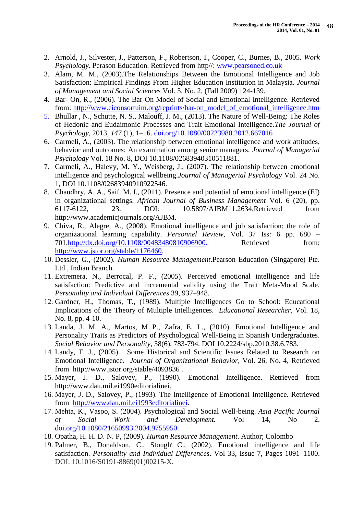- 2. Arnold, J., Silvester, J., Patterson, F., Robertson, I., Cooper, C., Burnes, B., 2005. *Work Psychology*. Perason Education. Retrieved from http//: [www.pearsoned.co.uk](http://www.pearsoned.co.uk/)
- 3. Alam, M. M., (2003).The Relationships Between the Emotional Intelligence and Job Satisfaction: Empirical Findings From Higher Education Institution in Malaysia. *Journal of Management and Social Sciences* Vol. 5, No. 2, (Fall 2009) 124-139.
- 4. Bar- On, R., (2006). The Bar-On Model of Social and Emotional Intelligence. Retrieved from: [http://www.eiconsortuim.org/reprints/bar-on\\_model\\_of\\_emotional\\_intelligence.htm](http://www.eiconsortuim.org/reprints/bar-on_model_of_emotional_intelligence.htm)
- 5. Bhullar , N., Schutte, N. S., Malouff, J. M., (2013). The Nature of Well-Being: The Roles of Hedonic and Eudaimonic Processes and Trait Emotional Intelligence.*The Journal of Psychology*, 2013, *147* (1), 1–16. doi.org/10.1080/00223980.2012.667016
- 6. Carmeli, A., (2003). The relationship between emotional intelligence and work attitudes, behavior and outcomes: An examination among senior managers. *Journal of Managerial Psychology* Vol. 18 No. 8, DOI 10.1108/02683940310511881.
- 7. Carmeli, A., Halevy, M. Y., Weisberg, J., (2007). The relationship between emotional intelligence and psychological wellbeing.*Journal of Managerial Psychology* Vol. 24 No. 1, DOI 10.1108/02683940910922546.
- 8. Chaudhry, A. A., Saif. M. I., (2011). Presence and potential of emotional intelligence (EI) in organizational settings. *African Journal of Business Management* Vol. 6 (20), pp. 6117-6122, 23. DOI: 10.5897/AJBM11.2634,Retrieved from http://www.academicjournals.org/AJBM.
- 9. Chiva, R., Alegre, A., (2008). Emotional intelligence and job satisfaction: the role of organizational learning capability. *Personnel Review*, Vol. 37 Iss: 6 pp. 680 – 701[,http://dx.doi.org/10.1108/00483480810906900.](http://dx.doi.org/10.1108/00483480810906900) Retrieved from: [http://www.jstor.org/stable/1176460.](http://www.jstor.org/stable/1176460)
- 10. Dessler, G., (2002). *Human Resource Management*.Pearson Education (Singapore) Pte. Ltd., Indian Branch.
- 11. Extremera, N., Berrocal, P. F., (2005). Perceived emotional intelligence and life satisfaction: Predictive and incremental validity using the Trait Meta-Mood Scale. *Personality and Individual Differences* 39, 937–948.
- 12. Gardner, H., Thomas, T., (1989). Multiple Intelligences Go to School: Educational Implications of the Theory of Multiple Intelligences. *Educational Researcher,* Vol. 18, No. 8, pp. 4-10.
- 13. Landa, J. M. A., Martos, M P., Zafra, E. L., (2010). Emotional Intelligence and Personality Traits as Predictors of Psychological Well-Being in Spanish Undergraduates. *Social Behavior and Personality*, 38(6), 783-794. DOI 10.2224/sbp.2010.38.6.783.
- 14. Landy, F. J., (2005). Some Historical and Scientific Issues Related to Research on Emotional Intelligence. *Journal of Organizational Behavior,* Vol. 26, No. 4, Retrieved from http://www.jstor.org/stable/4093836 .
- 15. Mayer, J. D., Salovey, P., (1990). Emotional Intelligence. Retrieved from http://www.dau.mil.ei1990editorialinei.
- 16. Mayer, J. D., Salovey, P., (1993). The Intelligence of Emotional Intelligence. Retrieved from [http://www.dau.mil.ei1993editorialinei.](http://www.dau.mil.ei1993editorialinei/)
- 17. Mehta, K., Vasoo, S. (2004). Psychological and Social Well-being. *Asia Pacific Journal of Social Work and Development.* Vol 14, No 2. doi.org/10.1080/21650993.2004.9755950.
- 18. Opatha, H. H. D. N. P, (2009)*. Human Resource Management*. Author; Colombo
- 19. Palmer, B., [Donaldson,](http://www.sciencedirect.com/science/article/pii/S019188690100215X) C., [Stough](http://www.sciencedirect.com/science/article/pii/S019188690100215X)' C., (2002). Emotional intelligence and life satisfaction. *[Personality](http://www.sciencedirect.com/science/journal/01918869) and Individual Differences*. Vol 33, [Issue](http://www.sciencedirect.com/science/journal/01918869/33/7) 7, Pages 1091–1100. DOI: 10.1016/S0191-8869(01)00215-X.